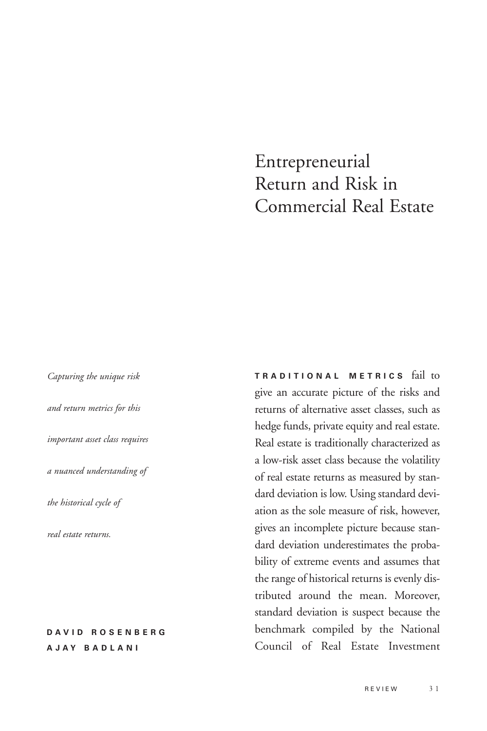# Entrepreneurial Return and Risk in Commercial Real Estate

*Capturing the unique risk and return metrics for this important asset class requires a nuanced understanding of the historical cycle of real estate returns.* 

### **DAVID ROSENBERG A J A Y BADLANI**

**TRADITIONAL METRICS** fail to give an accurate picture of the risks and returns of alternative asset classes, such as hedge funds, private equity and real estate. Real estate is traditionally characterized as a low-risk asset class because the volatility of real estate returns as measured by standard deviation is low. Using standard deviation as the sole measure of risk, however, gives an incomplete picture because standard deviation underestimates the probability of extreme events and assumes that the range of historical returns is evenly distributed around the mean. Moreover, standard deviation is suspect because the benchmark compiled by the National Council of Real Estate Investment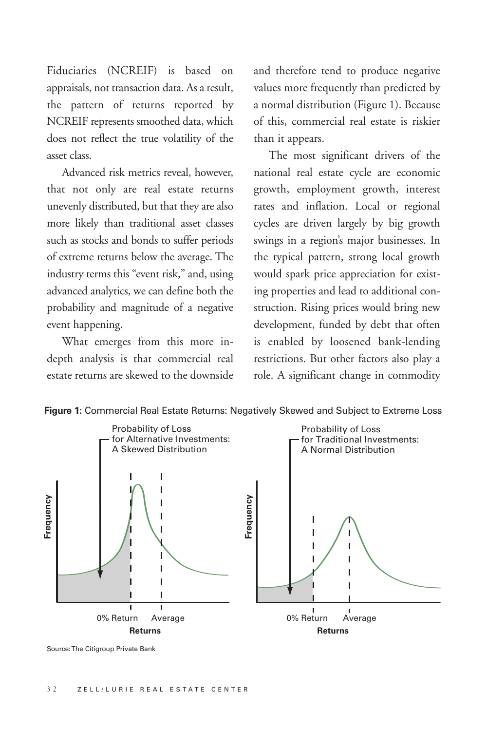Fiduciaries (NCREIF) is based on appraisals, not transaction data. As a result, the pattern of returns reported by NCREIF represents smoothed data, which does not reflect the true volatility of the asset class.

Advanced risk metrics reveal, however, that not only are real estate returns unevenly distributed, but that they are also more likely than traditional asset classes such as stocks and bonds to suffer periods of extreme returns below the average. The industry terms this "event risk," and, using advanced analytics, we can define both the probability and magnitude of a negative event happening.

What emerges from this more indepth analysis is that commercial real estate returns are skewed to the downside and therefore tend to produce negative values more frequently than predicted by a normal distribution (Figure 1). Because of this, commercial real estate is riskier than it appears.

The most significant drivers of the national real estate cycle are economic growth, employment growth, interest rates and inflation. Local or regional cycles are driven largely by big growth swings in a region's major businesses. In the typical pattern, strong local growth would spark price appreciation for existing properties and lead to additional construction. Rising prices would bring new development, funded by debt that often is enabled by loosened bank-lending restrictions. But other factors also play a role. A significant change in commodity



**Figure 1:** Commercial Real Estate Returns: Negatively Skewed and Subject to Extreme Loss

Source: The Citigroup Private Bank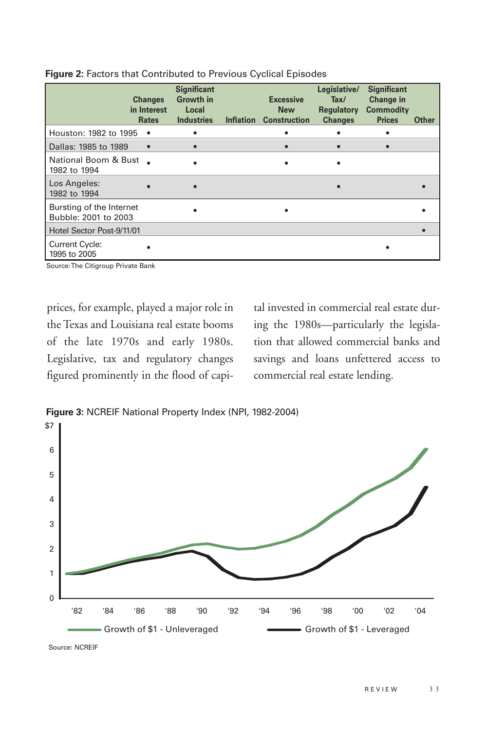|                                                  | <b>Changes</b><br>in Interest<br><b>Rates</b> | <b>Significant</b><br>Growth in<br>Local<br><b>Industries</b> | <b>Inflation</b> | <b>Excessive</b><br><b>New</b><br><b>Construction</b> | Legislative/<br>Tax/<br>Regulatory<br><b>Changes</b> | <b>Significant</b><br>Change in<br><b>Commodity</b><br><b>Prices</b> | <b>Other</b> |
|--------------------------------------------------|-----------------------------------------------|---------------------------------------------------------------|------------------|-------------------------------------------------------|------------------------------------------------------|----------------------------------------------------------------------|--------------|
| Houston: 1982 to 1995                            | $\bullet$                                     | ٠                                                             |                  |                                                       |                                                      |                                                                      |              |
| Dallas: 1985 to 1989                             | $\bullet$                                     |                                                               |                  |                                                       |                                                      |                                                                      |              |
| National Boom & Bust<br>1982 to 1994             |                                               |                                                               |                  |                                                       |                                                      |                                                                      |              |
| Los Angeles:<br>1982 to 1994                     |                                               |                                                               |                  |                                                       |                                                      |                                                                      |              |
| Bursting of the Internet<br>Bubble: 2001 to 2003 |                                               |                                                               |                  |                                                       |                                                      |                                                                      |              |
| Hotel Sector Post-9/11/01                        |                                               |                                                               |                  |                                                       |                                                      |                                                                      |              |
| <b>Current Cycle:</b><br>1995 to 2005            |                                               |                                                               |                  |                                                       |                                                      |                                                                      |              |

**Figure 2:** Factors that Contributed to Previous Cyclical Episodes

Source: The Citigroup Private Bank

prices, for example, played a major role in the Texas and Louisiana real estate booms of the late 1970s and early 1980s. Legislative, tax and regulatory changes figured prominently in the flood of capi-

tal invested in commercial real estate during the 1980s—particularly the legislation that allowed commercial banks and savings and loans unfettered access to commercial real estate lending.



**Figure 3:** NCREIF National Property Index (NPI, 1982-2004)

Source: NCREIF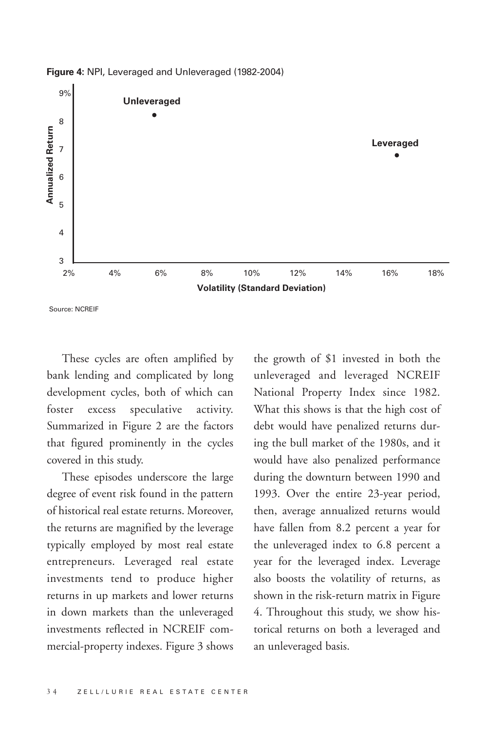

**Figure 4:** NPI, Leveraged and Unleveraged (1982-2004)

These cycles are often amplified by bank lending and complicated by long development cycles, both of which can foster excess speculative activity. Summarized in Figure 2 are the factors that figured prominently in the cycles covered in this study.

These episodes underscore the large degree of event risk found in the pattern of historical real estate returns. Moreover, the returns are magnified by the leverage typically employed by most real estate entrepreneurs. Leveraged real estate investments tend to produce higher returns in up markets and lower returns in down markets than the unleveraged investments reflected in NCREIF commercial-property indexes. Figure 3 shows

the growth of \$1 invested in both the unleveraged and leveraged NCREIF National Property Index since 1982. What this shows is that the high cost of debt would have penalized returns during the bull market of the 1980s, and it would have also penalized performance during the downturn between 1990 and 1993. Over the entire 23-year period, then, average annualized returns would have fallen from 8.2 percent a year for the unleveraged index to 6.8 percent a year for the leveraged index. Leverage also boosts the volatility of returns, as shown in the risk-return matrix in Figure 4. Throughout this study, we show historical returns on both a leveraged and an unleveraged basis.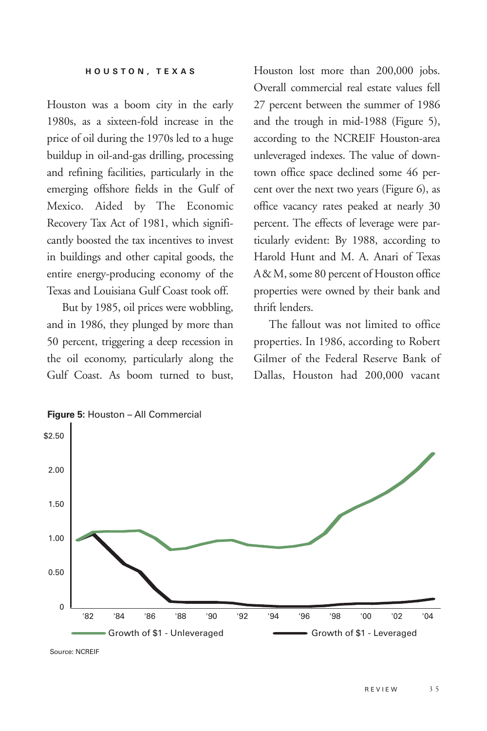Houston was a boom city in the early 1980s, as a sixteen-fold increase in the price of oil during the 1970s led to a huge buildup in oil-and-gas drilling, processing and refining facilities, particularly in the emerging offshore fields in the Gulf of Mexico. Aided by The Economic Recovery Tax Act of 1981, which significantly boosted the tax incentives to invest in buildings and other capital goods, the entire energy-producing economy of the Texas and Louisiana Gulf Coast took off.

But by 1985, oil prices were wobbling, and in 1986, they plunged by more than 50 percent, triggering a deep recession in the oil economy, particularly along the Gulf Coast. As boom turned to bust,

Houston lost more than 200,000 jobs. Overall commercial real estate values fell 27 percent between the summer of 1986 and the trough in mid-1988 (Figure 5), according to the NCREIF Houston-area unleveraged indexes. The value of downtown office space declined some 46 percent over the next two years (Figure 6), as office vacancy rates peaked at nearly 30 percent. The effects of leverage were particularly evident: By 1988, according to Harold Hunt and M. A. Anari of Texas A& M, some 80 percent of Houston office properties were owned by their bank and thrift lenders.

The fallout was not limited to office properties. In 1986, according to Robert Gilmer of the Federal Reserve Bank of Dallas, Houston had 200,000 vacant



**Figure 5:** Houston – All Commercial

Source: NCREIF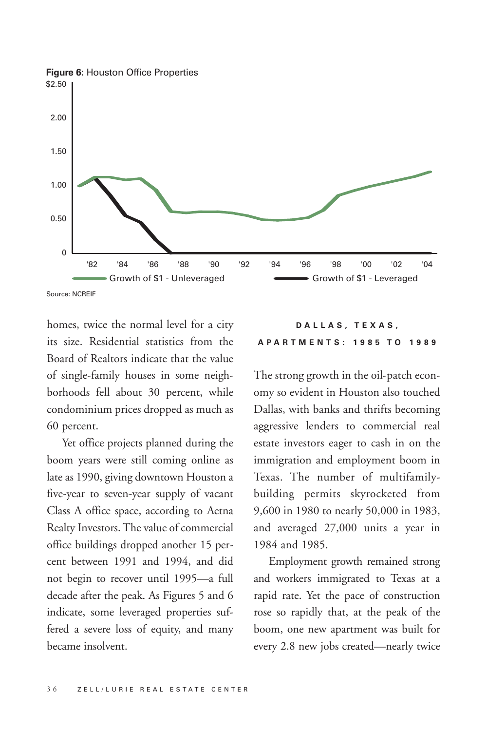

homes, twice the normal level for a city its size. Residential statistics from the Board of Realtors indicate that the value of single-family houses in some neighborhoods fell about 30 percent, while condominium prices dropped as much as 60 percent.

Yet office projects planned during the boom years were still coming online as late as 1990, giving downtown Houston a five-year to seven-year supply of vacant Class A office space, according to Aetna Realty Investors. The value of commercial office buildings dropped another 15 percent between 1991 and 1994, and did not begin to recover until 1995—a full decade after the peak. As Figures 5 and 6 indicate, some leveraged properties suffered a severe loss of equity, and many became insolvent.

## **DALLAS, TEXAS, APARTMENTS: 1985 TO 1989**

The strong growth in the oil-patch economy so evident in Houston also touched Dallas, with banks and thrifts becoming aggressive lenders to commercial real estate investors eager to cash in on the immigration and employment boom in Texas. The number of multifamilybuilding permits skyrocketed from 9,600 in 1980 to nearly 50,000 in 1983, and averaged 27,000 units a year in 1984 and 1985.

Employment growth remained strong and workers immigrated to Texas at a rapid rate. Yet the pace of construction rose so rapidly that, at the peak of the boom, one new apartment was built for every 2.8 new jobs created—nearly twice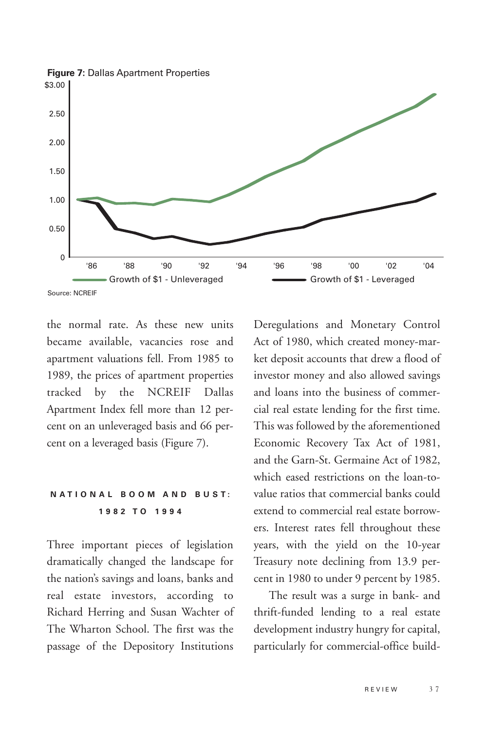

the normal rate. As these new units became available, vacancies rose and apartment valuations fell. From 1985 to 1989, the prices of apartment properties tracked by the NCREIF Dallas Apartment Index fell more than 12 percent on an unleveraged basis and 66 percent on a leveraged basis (Figure 7).

# **NATIONAL BOOM AND BUST: 1 982 TO 1994**

Three important pieces of legislation dramatically changed the landscape for the nation's savings and loans, banks and real estate investors, according to Richard Herring and Susan Wachter of The Wharton School. The first was the passage of the Depository Institutions

Deregulations and Monetary Control Act of 1980, which created money-market deposit accounts that drew a flood of investor money and also allowed savings and loans into the business of commercial real estate lending for the first time. This was followed by the aforementioned Economic Recovery Tax Act of 1981, and the Garn-St. Germaine Act of 1982, which eased restrictions on the loan-tovalue ratios that commercial banks could extend to commercial real estate borrowers. Interest rates fell throughout these years, with the yield on the 10-year Treasury note declining from 13.9 percent in 1980 to under 9 percent by 1985.

The result was a surge in bank- and thrift-funded lending to a real estate development industry hungry for capital, particularly for commercial-office build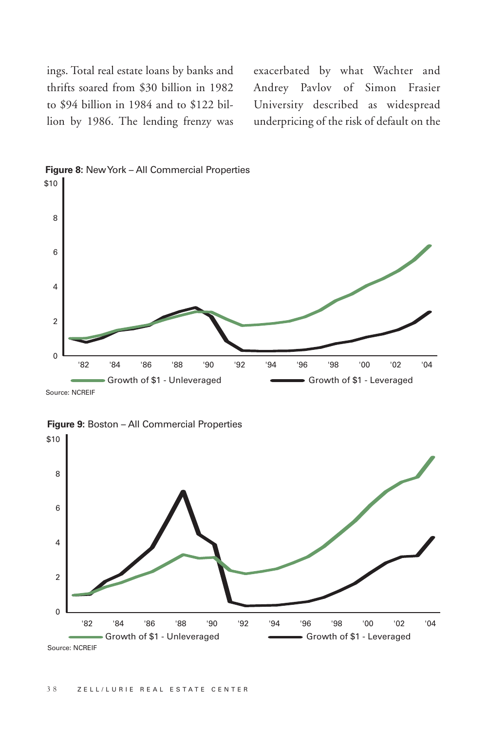ings. Total real estate loans by banks and thrifts soared from \$30 billion in 1982 to \$94 billion in 1984 and to \$122 billion by 1986. The lending frenzy was exacerbated by what Wachter and Andrey Pavlov of Simon Frasier University described as widespread underpricing of the risk of default on the





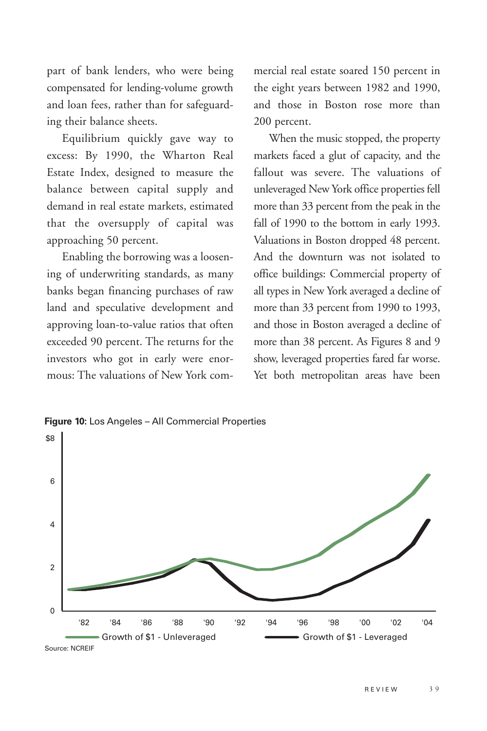part of bank lenders, who were being compensated for lending-volume growth and loan fees, rather than for safeguarding their balance sheets.

Equilibrium quickly gave way to excess: By 1990, the Wharton Real Estate Index, designed to measure the balance between capital supply and demand in real estate markets, estimated that the oversupply of capital was approaching 50 percent.

Enabling the borrowing was a loosening of underwriting standards, as many banks began financing purchases of raw land and speculative development and approving loan-to-value ratios that often exceeded 90 percent. The returns for the investors who got in early were enormous: The valuations of New York commercial real estate soared 150 percent in the eight years between 1982 and 1990, and those in Boston rose more than 200 percent.

When the music stopped, the property markets faced a glut of capacity, and the fallout was severe. The valuations of unleveraged New York office properties fell more than 33 percent from the peak in the fall of 1990 to the bottom in early 1993. Valuations in Boston dropped 48 percent. And the downturn was not isolated to office buildings: Commercial property of all types in New York averaged a decline of more than 33 percent from 1990 to 1993, and those in Boston averaged a decline of more than 38 percent. As Figures 8 and 9 show, leveraged properties fared far worse. Yet both metropolitan areas have been

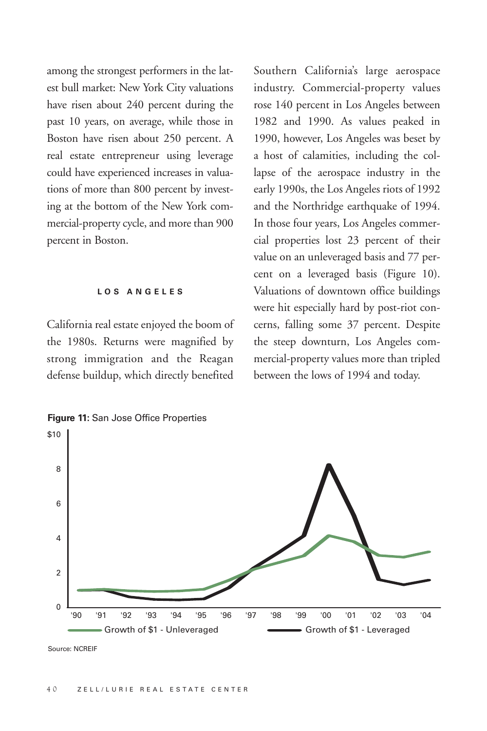among the strongest performers in the latest bull market: New York City valuations have risen about 240 percent during the past 10 years, on average, while those in Boston have risen about 250 percent. A real estate entrepreneur using leverage could have experienced increases in valuations of more than 800 percent by investing at the bottom of the New York commercial-property cycle, and more than 900 percent in Boston.

#### **LOS ANGELES**

California real estate enjoyed the boom of the 1980s. Returns were magnified by strong immigration and the Reagan defense buildup, which directly benefited

Southern California's large aerospace industry. Commercial-property values rose 140 percent in Los Angeles between 1982 and 1990. As values peaked in 1990, however, Los Angeles was beset by a host of calamities, including the collapse of the aerospace industry in the early 1990s, the Los Angeles riots of 1992 and the Northridge earthquake of 1994. In those four years, Los Angeles commercial properties lost 23 percent of their value on an unleveraged basis and 77 percent on a leveraged basis (Figure 10). Valuations of downtown office buildings were hit especially hard by post-riot concerns, falling some 37 percent. Despite the steep downturn, Los Angeles commercial-property values more than tripled between the lows of 1994 and today.



Source: NCREIF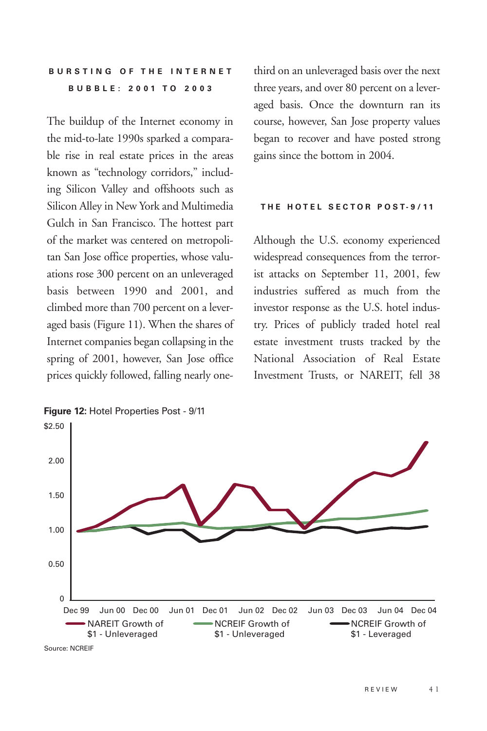# **B U R ST I N G O F T H E I N T E R N E T B UBBLE: 2001 TO 2003**

The buildup of the Internet economy in the mid-to-late 1990s sparked a comparable rise in real estate prices in the areas known as "technology corridors," including Silicon Valley and offshoots such as Silicon Alley in New York and Multimedia Gulch in San Francisco. The hottest part of the market was centered on metropolitan San Jose office properties, whose valuations rose 300 percent on an unleveraged basis between 1990 and 2001, and climbed more than 700 percent on a leveraged basis (Figure 11). When the shares of Internet companies began collapsing in the spring of 2001, however, San Jose office prices quickly followed, falling nearly onethird on an unleveraged basis over the next three years, and over 80 percent on a leveraged basis. Once the downturn ran its course, however, San Jose property values began to recover and have posted strong gains since the bottom in 2004.

#### **T H E H OT E L S E C TO R P O ST- 9 / 11**

Although the U.S. economy experienced widespread consequences from the terrorist attacks on September 11, 2001, few industries suffered as much from the investor response as the U.S. hotel industry. Prices of publicly traded hotel real estate investment trusts tracked by the National Association of Real Estate Investment Trusts, or NAREIT, fell 38